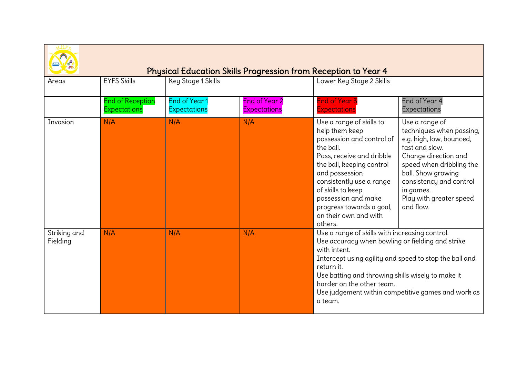|                          |                                         |                               |                                      | <b>Physical Education Skills Progression from Reception to Year 4</b>                                                                                                                                                                                                                                    |                                                                                                                                                                                                                                                    |
|--------------------------|-----------------------------------------|-------------------------------|--------------------------------------|----------------------------------------------------------------------------------------------------------------------------------------------------------------------------------------------------------------------------------------------------------------------------------------------------------|----------------------------------------------------------------------------------------------------------------------------------------------------------------------------------------------------------------------------------------------------|
| Areas                    | <b>EYFS Skills</b>                      | <b>Key Stage 1 Skills</b>     |                                      | Lower Key Stage 2 Skills                                                                                                                                                                                                                                                                                 |                                                                                                                                                                                                                                                    |
|                          | <b>End of Reception</b><br>Expectations | End of Year 1<br>Expectations | <b>End of Year 2</b><br>Expectations | <b>End of Year 3</b><br>Expectations                                                                                                                                                                                                                                                                     | End of Year 4<br>Expectations                                                                                                                                                                                                                      |
| Invasion                 | N/A                                     | N/A                           | N/A                                  | Use a range of skills to<br>help them keep<br>possession and control of<br>the ball.<br>Pass, receive and dribble<br>the ball, keeping control<br>and possession<br>consistently use a range<br>of skills to keep<br>possession and make<br>progress towards a goal,<br>on their own and with<br>others. | Use a range of<br>techniques when passing,<br>e.g. high, low, bounced,<br>fast and slow.<br>Change direction and<br>speed when dribbling the<br>ball. Show growing<br>consistency and control<br>in games.<br>Play with greater speed<br>and flow. |
| Striking and<br>Fielding | N/A                                     | N/A                           | N/A                                  | Use a range of skills with increasing control.<br>Use accuracy when bowling or fielding and strike<br>with intent.<br>Intercept using agility and speed to stop the ball and<br>return it.<br>Use batting and throwing skills wisely to make it<br>harder on the other team.<br>a team.                  | Use judgement within competitive games and work as                                                                                                                                                                                                 |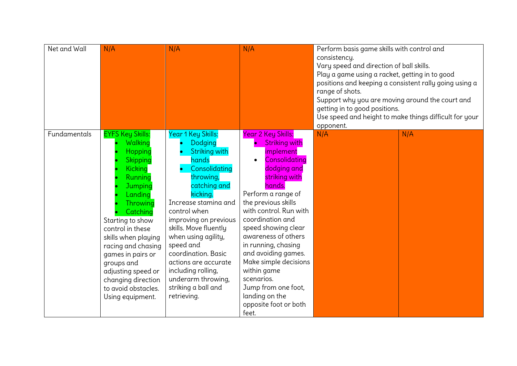| Net and Wall | N/A                                                                                                                                                                                                                                                                                                                                                 | N/A                                                                                                                                                                                                                                                                                                                                                                              | N/A                                                                                                                                                                                                                                                                                                                                                                                                                                               | Perform basis game skills with control and<br>consistency.<br>Vary speed and direction of ball skills.<br>Play a game using a racket, getting in to good<br>positions and keeping a consistent rally going using a<br>range of shots.<br>Support why you are moving around the court and<br>getting in to good positions.<br>opponent. | Use speed and height to make things difficult for your |
|--------------|-----------------------------------------------------------------------------------------------------------------------------------------------------------------------------------------------------------------------------------------------------------------------------------------------------------------------------------------------------|----------------------------------------------------------------------------------------------------------------------------------------------------------------------------------------------------------------------------------------------------------------------------------------------------------------------------------------------------------------------------------|---------------------------------------------------------------------------------------------------------------------------------------------------------------------------------------------------------------------------------------------------------------------------------------------------------------------------------------------------------------------------------------------------------------------------------------------------|----------------------------------------------------------------------------------------------------------------------------------------------------------------------------------------------------------------------------------------------------------------------------------------------------------------------------------------|--------------------------------------------------------|
| Fundamentals | <b>EYFS Key Skills:</b><br>Walking<br>Hopping<br>Skipping<br><b>Kicking</b><br>Running<br>Jumping<br>Landing<br>Throwing<br>Catching<br>Starting to show<br>control in these<br>skills when playing<br>racing and chasing<br>games in pairs or<br>groups and<br>adjusting speed or<br>changing direction<br>to avoid obstacles.<br>Using equipment. | Year 1 Key Skills:<br>Dodging<br>Striking with<br>hands<br>Consolidating<br>throwing,<br>catching and<br>kicking.<br>Increase stamina and<br>control when<br>improving on previous<br>skills. Move fluently<br>when using agility,<br>speed and<br>coordination. Basic<br>actions are accurate<br>including rolling,<br>underarm throwing,<br>striking a ball and<br>retrieving. | <b>Year 2 Key Skills:</b><br><b>Striking with</b><br>implement<br>Consolidating<br>dodging and<br>striking with<br>hands.<br>Perform a range of<br>the previous skills<br>with control. Run with<br>coordination and<br>speed showing clear<br>awareness of others<br>in running, chasing<br>and avoiding games.<br>Make simple decisions<br>within game<br>scenarios.<br>Jump from one foot,<br>landing on the<br>opposite foot or both<br>feet. | N/A                                                                                                                                                                                                                                                                                                                                    | N/A                                                    |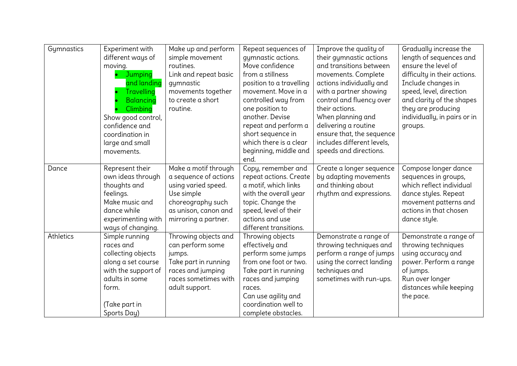| Gymnastics | Experiment with<br>different ways of<br>moving.<br>Jumping<br>and landing<br><b>Travelling</b><br>Balancing<br>Climbing<br>Show good control,<br>confidence and<br>coordination in<br>large and small<br>movements. | Make up and perform<br>simple movement<br>routines.<br>Link and repeat basic<br>gymnastic<br>movements together<br>to create a short<br>routine.        | Repeat sequences of<br>gymnastic actions.<br>Move confidence<br>from a stillness<br>position to a travelling<br>movement. Move in a<br>controlled way from<br>one position to<br>another. Devise<br>repeat and perform a<br>short sequence in<br>which there is a clear<br>beginning, middle and<br>end. | Improve the quality of<br>their gymnastic actions<br>and transitions between<br>movements. Complete<br>actions individually and<br>with a partner showing<br>control and fluency over<br>their actions.<br>When planning and<br>delivering a routine<br>ensure that, the sequence<br>includes different levels,<br>speeds and directions. | Gradually increase the<br>length of sequences and<br>ensure the level of<br>difficulty in their actions.<br>Include changes in<br>speed, level, direction<br>and clarity of the shapes<br>they are producing<br>individually, in pairs or in<br>groups. |
|------------|---------------------------------------------------------------------------------------------------------------------------------------------------------------------------------------------------------------------|---------------------------------------------------------------------------------------------------------------------------------------------------------|----------------------------------------------------------------------------------------------------------------------------------------------------------------------------------------------------------------------------------------------------------------------------------------------------------|-------------------------------------------------------------------------------------------------------------------------------------------------------------------------------------------------------------------------------------------------------------------------------------------------------------------------------------------|---------------------------------------------------------------------------------------------------------------------------------------------------------------------------------------------------------------------------------------------------------|
| Dance      | Represent their<br>own ideas through<br>thoughts and<br>feelings.<br>Make music and<br>dance while<br>experimenting with<br>ways of changing.                                                                       | Make a motif through<br>a sequence of actions<br>using varied speed.<br>Use simple<br>choreography such<br>as unison, canon and<br>mirroring a partner. | Copy, remember and<br>repeat actions. Create<br>a motif, which links<br>with the overall year<br>topic. Change the<br>speed, level of their<br>actions and use<br>different transitions.                                                                                                                 | Create a longer sequence<br>by adapting movements<br>and thinking about<br>rhythm and expressions.                                                                                                                                                                                                                                        | Compose longer dance<br>sequences in groups,<br>which reflect individual<br>dance styles. Repeat<br>movement patterns and<br>actions in that chosen<br>dance style.                                                                                     |
| Athletics  | Simple running<br>races and<br>collecting objects<br>along a set course<br>with the support of<br>adults in some<br>form.<br>(Take part in<br>Sports Day)                                                           | Throwing objects and<br>can perform some<br>jumps.<br>Take part in running<br>races and jumping<br>races sometimes with<br>adult support.               | Throwing objects<br>effectively and<br>perform some jumps<br>from one foot or two.<br>Take part in running<br>races and jumping<br>races.<br>Can use agility and<br>coordination well to<br>complete obstacles.                                                                                          | Demonstrate a range of<br>throwing techniques and<br>perform a range of jumps<br>using the correct landing<br>techniques and<br>sometimes with run-ups.                                                                                                                                                                                   | Demonstrate a range of<br>throwing techniques<br>using accuracy and<br>power. Perform a range<br>of jumps.<br>Run over longer<br>distances while keeping<br>the pace.                                                                                   |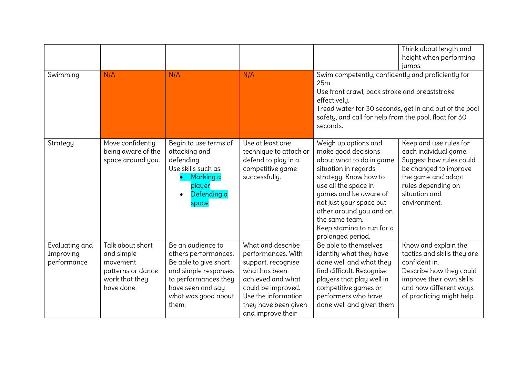| Swimming                                   | N/A                                                                                             | N/A                                                                                                                                                                     | N/A                                                                                                                                                                                           | Swim competently, confidently and proficiently for<br>25m<br>Use front crawl, back stroke and breaststroke<br>effectively.<br>safety, and call for help from the pool, float for 30<br>seconds.                                                                                                     | Think about length and<br>height when performing<br>jumps.<br>Tread water for 30 seconds, get in and out of the pool                                                               |
|--------------------------------------------|-------------------------------------------------------------------------------------------------|-------------------------------------------------------------------------------------------------------------------------------------------------------------------------|-----------------------------------------------------------------------------------------------------------------------------------------------------------------------------------------------|-----------------------------------------------------------------------------------------------------------------------------------------------------------------------------------------------------------------------------------------------------------------------------------------------------|------------------------------------------------------------------------------------------------------------------------------------------------------------------------------------|
| Strategy                                   | Move confidently<br>being aware of the<br>space around you.                                     | Begin to use terms of<br>attacking and<br>defending.<br>Use skills such as:<br>Marking a<br>player<br>Defending a<br>$\bullet$<br>space                                 | Use at least one<br>technique to attack or<br>defend to play in a<br>competitive game<br>successfully.                                                                                        | Weigh up options and<br>make good decisions<br>about what to do in game<br>situation in regards<br>strategy. Know how to<br>use all the space in<br>games and be aware of<br>not just your space but<br>other around you and on<br>the same team.<br>Keep stamina to run for a<br>prolonged period. | Keep and use rules for<br>each individual game.<br>Suggest how rules could<br>be changed to improve<br>the game and adapt<br>rules depending on<br>situation and<br>environment.   |
| Evaluating and<br>Improving<br>performance | Talk about short<br>and simple<br>movement<br>patterns or dance<br>work that they<br>have done. | Be an audience to<br>others performances.<br>Be able to give short<br>and simple responses<br>to performances they<br>have seen and say<br>what was good about<br>them. | What and describe<br>performances. With<br>support, recognise<br>what has been<br>achieved and what<br>could be improved.<br>Use the information<br>they have been given<br>and improve their | Be able to themselves<br>identify what they have<br>done well and what they<br>find difficult. Recognise<br>players that play well in<br>competitive games or<br>performers who have<br>done well and given them                                                                                    | Know and explain the<br>tactics and skills they are<br>confident in.<br>Describe how they could<br>improve their own skills<br>and how different ways<br>of practicing might help. |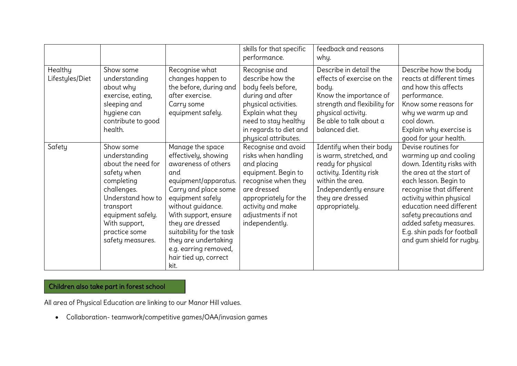|                            |                                                                                                                                                                                                           |                                                                                                                                                                                                                                                                                                                           | skills for that specific<br>performance.                                                                                                                                                                     | feedback and reasons<br>why.                                                                                                                                                               |                                                                                                                                                                                                                                                                                                                                     |
|----------------------------|-----------------------------------------------------------------------------------------------------------------------------------------------------------------------------------------------------------|---------------------------------------------------------------------------------------------------------------------------------------------------------------------------------------------------------------------------------------------------------------------------------------------------------------------------|--------------------------------------------------------------------------------------------------------------------------------------------------------------------------------------------------------------|--------------------------------------------------------------------------------------------------------------------------------------------------------------------------------------------|-------------------------------------------------------------------------------------------------------------------------------------------------------------------------------------------------------------------------------------------------------------------------------------------------------------------------------------|
| Healthy<br>Lifestyles/Diet | Show some<br>understanding<br>about why<br>exercise, eating,<br>sleeping and<br>hygiene can<br>contribute to good<br>health.                                                                              | Recognise what<br>changes happen to<br>the before, during and<br>after exercise.<br>Carry some<br>equipment safely.                                                                                                                                                                                                       | Recognise and<br>describe how the<br>body feels before,<br>during and after<br>physical activities.<br>Explain what they<br>need to stay healthy<br>in regards to diet and<br>physical attributes.           | Describe in detail the<br>effects of exercise on the<br>body.<br>Know the importance of<br>strength and flexibility for<br>physical activity.<br>Be able to talk about a<br>balanced diet. | Describe how the body<br>reacts at different times<br>and how this affects<br>performance.<br>Know some reasons for<br>why we warm up and<br>cool down.<br>Explain why exercise is<br>good for your health.                                                                                                                         |
| Safety                     | Show some<br>understanding<br>about the need for<br>safety when<br>completing<br>challenges.<br>Understand how to<br>transport<br>equipment safely.<br>With support,<br>practice some<br>safety measures. | Manage the space<br>effectively, showing<br>awareness of others<br>and<br>equipment/apparatus.<br>Carry and place some<br>equipment safely<br>without guidance.<br>With support, ensure<br>they are dressed<br>suitability for the task<br>they are undertaking<br>e.g. earring removed,<br>hair tied up, correct<br>kit. | Recognise and avoid<br>risks when handling<br>and placing<br>equipment. Begin to<br>recognise when they<br>are dressed<br>appropriately for the<br>activity and make<br>adjustments if not<br>independently. | Identify when their body<br>is warm, stretched, and<br>ready for physical<br>activity. Identity risk<br>within the area.<br>Independently ensure<br>they are dressed<br>appropriately.     | Devise routines for<br>warming up and cooling<br>down. Identity risks with<br>the area at the start of<br>each lesson. Begin to<br>recognise that different<br>activity within physical<br>education need different<br>safety precautions and<br>added safety measures.<br>E.g. shin pads for football<br>and gum shield for rugby. |

## Children also take part in forest school

All area of Physical Education are linking to our Manor Hill values. sessions.

• Collaboration- teamwork/competitive games/OAA/invasion games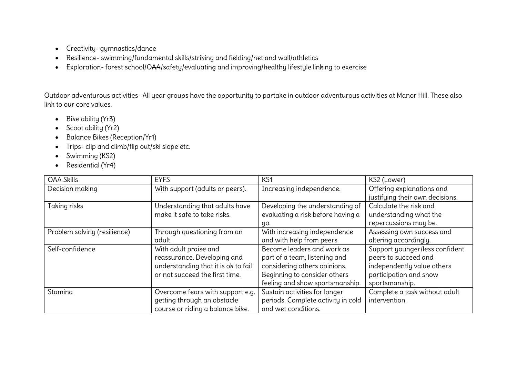- Creativity- gymnastics/dance
- Resilience- swimming/fundamental skills/striking and fielding/net and wall/athletics
- Exploration- forest school/OAA/safety/evaluating and improving/healthy lifestyle linking to exercise

Outdoor adventurous activities- All year groups have the opportunity to partake in outdoor adventurous activities at Manor Hill. These also link to our core values.

- Bike ability (Yr3)
- Scoot ability (Yr2)
- Balance Bikes (Reception/Yr1)
- Trips- clip and climb/flip out/ski slope etc.
- Swimming (KS2)
- Residential (Yr4)

| <b>OAA Skills</b>            | <b>EYFS</b>                         | KS <sub>1</sub>                    | KS2 (Lower)                     |
|------------------------------|-------------------------------------|------------------------------------|---------------------------------|
| Decision making              | With support (adults or peers).     | Increasing independence.           | Offering explanations and       |
|                              |                                     |                                    | justifying their own decisions. |
| Taking risks                 | Understanding that adults have      | Developing the understanding of    | Calculate the risk and          |
|                              | make it safe to take risks.         | evaluating a risk before having a  | understanding what the          |
|                              |                                     | go.                                | repercussions may be.           |
| Problem solving (resilience) | Through questioning from an         | With increasing independence       | Assessing own success and       |
|                              | adult.                              | and with help from peers.          | altering accordingly.           |
| Self-confidence              | With adult praise and               | Become leaders and work as         | Support younger/less confident  |
|                              | reassurance. Developing and         | part of a team, listening and      | peers to succeed and            |
|                              | understanding that it is ok to fail | considering others opinions.       | independently value others      |
|                              | or not succeed the first time.      | Beginning to consider others       | participation and show          |
|                              |                                     | feeling and show sportsmanship.    | sportsmanship.                  |
| Stamina                      | Overcome fears with support e.g.    | Sustain activities for longer      | Complete a task without adult   |
|                              | getting through an obstacle         | periods. Complete activity in cold | intervention.                   |
|                              | course or riding a balance bike.    | and wet conditions.                |                                 |